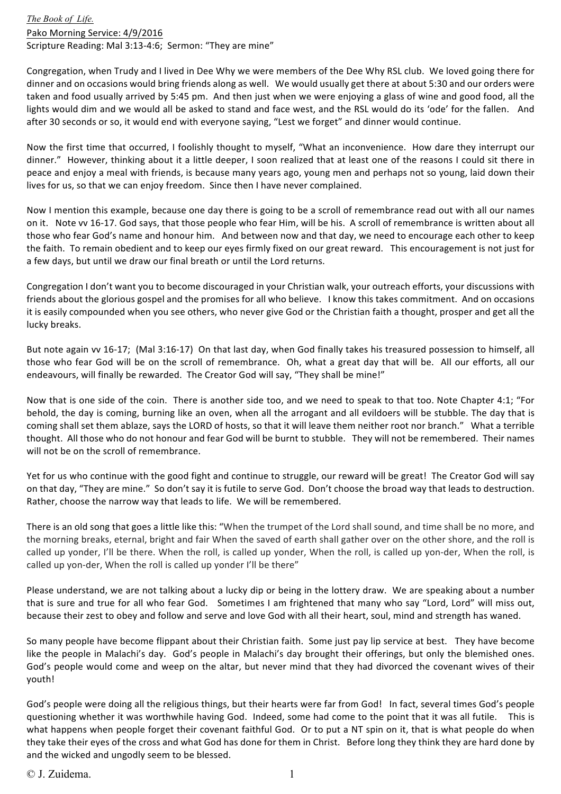*The Book of Life.* Pako Morning Service: 4/9/2016 Scripture Reading: Mal 3:13-4:6; Sermon: "They are mine"

Congregation, when Trudy and I lived in Dee Why we were members of the Dee Why RSL club. We loved going there for dinner and on occasions would bring friends along as well. We would usually get there at about 5:30 and our orders were taken and food usually arrived by 5:45 pm. And then just when we were enjoying a glass of wine and good food, all the lights would dim and we would all be asked to stand and face west, and the RSL would do its 'ode' for the fallen. And after 30 seconds or so, it would end with everyone saying, "Lest we forget" and dinner would continue.

Now the first time that occurred, I foolishly thought to myself, "What an inconvenience. How dare they interrupt our dinner." However, thinking about it a little deeper, I soon realized that at least one of the reasons I could sit there in peace and enjoy a meal with friends, is because many years ago, young men and perhaps not so young, laid down their lives for us, so that we can enjoy freedom. Since then I have never complained.

Now I mention this example, because one day there is going to be a scroll of remembrance read out with all our names on it. Note vv 16-17. God says, that those people who fear Him, will be his. A scroll of remembrance is written about all those who fear God's name and honour him. And between now and that day, we need to encourage each other to keep the faith. To remain obedient and to keep our eyes firmly fixed on our great reward. This encouragement is not just for a few days, but until we draw our final breath or until the Lord returns.

Congregation I don't want you to become discouraged in your Christian walk, your outreach efforts, your discussions with friends about the glorious gospel and the promises for all who believe. I know this takes commitment. And on occasions it is easily compounded when you see others, who never give God or the Christian faith a thought, prosper and get all the lucky breaks.

But note again vv 16-17; (Mal 3:16-17) On that last day, when God finally takes his treasured possession to himself, all those who fear God will be on the scroll of remembrance. Oh, what a great day that will be. All our efforts, all our endeavours, will finally be rewarded. The Creator God will say, "They shall be mine!"

Now that is one side of the coin. There is another side too, and we need to speak to that too. Note Chapter 4:1; "For behold, the day is coming, burning like an oven, when all the arrogant and all evildoers will be stubble. The day that is coming shall set them ablaze, says the LORD of hosts, so that it will leave them neither root nor branch." What a terrible thought. All those who do not honour and fear God will be burnt to stubble. They will not be remembered. Their names will not be on the scroll of remembrance

Yet for us who continue with the good fight and continue to struggle, our reward will be great! The Creator God will say on that day, "They are mine." So don't say it is futile to serve God. Don't choose the broad way that leads to destruction. Rather, choose the narrow way that leads to life. We will be remembered.

There is an old song that goes a little like this: "When the trumpet of the Lord shall sound, and time shall be no more, and the morning breaks, eternal, bright and fair When the saved of earth shall gather over on the other shore, and the roll is called up yonder, I'll be there. When the roll, is called up yonder, When the roll, is called up yon-der, When the roll, is called up yon-der, When the roll is called up yonder I'll be there"

Please understand, we are not talking about a lucky dip or being in the lottery draw. We are speaking about a number that is sure and true for all who fear God. Sometimes I am frightened that many who say "Lord, Lord" will miss out, because their zest to obey and follow and serve and love God with all their heart, soul, mind and strength has waned.

So many people have become flippant about their Christian faith. Some just pay lip service at best. They have become like the people in Malachi's day. God's people in Malachi's day brought their offerings, but only the blemished ones. God's people would come and weep on the altar, but never mind that they had divorced the covenant wives of their youth! 

God's people were doing all the religious things, but their hearts were far from God! In fact, several times God's people questioning whether it was worthwhile having God. Indeed, some had come to the point that it was all futile. This is what happens when people forget their covenant faithful God. Or to put a NT spin on it, that is what people do when they take their eyes of the cross and what God has done for them in Christ. Before long they think they are hard done by and the wicked and ungodly seem to be blessed.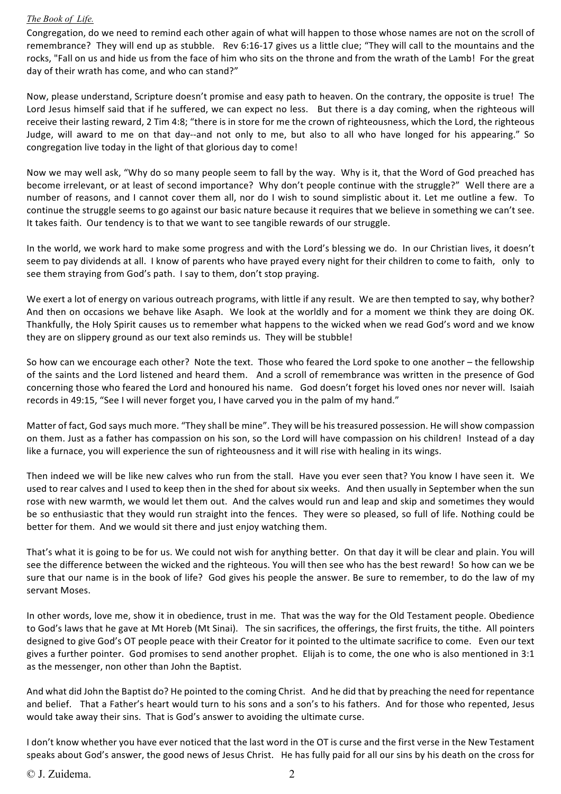## *The Book of Life.*

Congregation, do we need to remind each other again of what will happen to those whose names are not on the scroll of remembrance? They will end up as stubble. Rev 6:16-17 gives us a little clue; "They will call to the mountains and the rocks. "Fall on us and hide us from the face of him who sits on the throne and from the wrath of the Lamb! For the great day of their wrath has come, and who can stand?"

Now, please understand, Scripture doesn't promise and easy path to heaven. On the contrary, the opposite is true! The Lord Jesus himself said that if he suffered, we can expect no less. But there is a day coming, when the righteous will receive their lasting reward, 2 Tim 4:8; "there is in store for me the crown of righteousness, which the Lord, the righteous Judge, will award to me on that day--and not only to me, but also to all who have longed for his appearing." So congregation live today in the light of that glorious day to come!

Now we may well ask, "Why do so many people seem to fall by the way. Why is it, that the Word of God preached has become irrelevant, or at least of second importance? Why don't people continue with the struggle?" Well there are a number of reasons, and I cannot cover them all, nor do I wish to sound simplistic about it. Let me outline a few. To continue the struggle seems to go against our basic nature because it requires that we believe in something we can't see. It takes faith. Our tendency is to that we want to see tangible rewards of our struggle.

In the world, we work hard to make some progress and with the Lord's blessing we do. In our Christian lives, it doesn't seem to pay dividends at all. I know of parents who have prayed every night for their children to come to faith, only to see them straying from God's path. I say to them, don't stop praying.

We exert a lot of energy on various outreach programs, with little if any result. We are then tempted to say, why bother? And then on occasions we behave like Asaph. We look at the worldly and for a moment we think they are doing OK. Thankfully, the Holy Spirit causes us to remember what happens to the wicked when we read God's word and we know they are on slippery ground as our text also reminds us. They will be stubble!

So how can we encourage each other? Note the text. Those who feared the Lord spoke to one another – the fellowship of the saints and the Lord listened and heard them. And a scroll of remembrance was written in the presence of God concerning those who feared the Lord and honoured his name. God doesn't forget his loved ones nor never will. Isaiah records in 49:15, "See I will never forget you, I have carved you in the palm of my hand."

Matter of fact, God says much more. "They shall be mine". They will be his treasured possession. He will show compassion on them. Just as a father has compassion on his son, so the Lord will have compassion on his children! Instead of a day like a furnace, you will experience the sun of righteousness and it will rise with healing in its wings.

Then indeed we will be like new calves who run from the stall. Have you ever seen that? You know I have seen it. We used to rear calves and I used to keep then in the shed for about six weeks. And then usually in September when the sun rose with new warmth, we would let them out. And the calves would run and leap and skip and sometimes they would be so enthusiastic that they would run straight into the fences. They were so pleased, so full of life. Nothing could be better for them. And we would sit there and just enjoy watching them.

That's what it is going to be for us. We could not wish for anything better. On that day it will be clear and plain. You will see the difference between the wicked and the righteous. You will then see who has the best reward! So how can we be sure that our name is in the book of life? God gives his people the answer. Be sure to remember, to do the law of my servant Moses.

In other words, love me, show it in obedience, trust in me. That was the way for the Old Testament people. Obedience to God's laws that he gave at Mt Horeb (Mt Sinai). The sin sacrifices, the offerings, the first fruits, the tithe. All pointers designed to give God's OT people peace with their Creator for it pointed to the ultimate sacrifice to come. Even our text gives a further pointer. God promises to send another prophet. Elijah is to come, the one who is also mentioned in  $3:1$ as the messenger, non other than John the Baptist.

And what did John the Baptist do? He pointed to the coming Christ. And he did that by preaching the need for repentance and belief. That a Father's heart would turn to his sons and a son's to his fathers. And for those who repented, Jesus would take away their sins. That is God's answer to avoiding the ultimate curse.

I don't know whether you have ever noticed that the last word in the OT is curse and the first verse in the New Testament speaks about God's answer, the good news of Jesus Christ. He has fully paid for all our sins by his death on the cross for